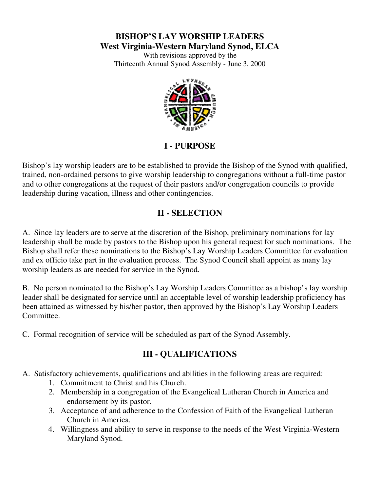#### **BISHOP'S LAY WORSHIP LEADERS West Virginia-Western Maryland Synod, ELCA**

With revisions approved by the Thirteenth Annual Synod Assembly - June 3, 2000



## **I - PURPOSE**

Bishop's lay worship leaders are to be established to provide the Bishop of the Synod with qualified, trained, non-ordained persons to give worship leadership to congregations without a full-time pastor and to other congregations at the request of their pastors and/or congregation councils to provide leadership during vacation, illness and other contingencies.

### **II - SELECTION**

A. Since lay leaders are to serve at the discretion of the Bishop, preliminary nominations for lay leadership shall be made by pastors to the Bishop upon his general request for such nominations. The Bishop shall refer these nominations to the Bishop's Lay Worship Leaders Committee for evaluation and ex officio take part in the evaluation process. The Synod Council shall appoint as many lay worship leaders as are needed for service in the Synod.

B. No person nominated to the Bishop's Lay Worship Leaders Committee as a bishop's lay worship leader shall be designated for service until an acceptable level of worship leadership proficiency has been attained as witnessed by his/her pastor, then approved by the Bishop's Lay Worship Leaders Committee.

C. Formal recognition of service will be scheduled as part of the Synod Assembly.

# **III - QUALIFICATIONS**

A. Satisfactory achievements, qualifications and abilities in the following areas are required:

- 1. Commitment to Christ and his Church.
- 2. Membership in a congregation of the Evangelical Lutheran Church in America and endorsement by its pastor.
- 3. Acceptance of and adherence to the Confession of Faith of the Evangelical Lutheran Church in America.
- 4. Willingness and ability to serve in response to the needs of the West Virginia-Western Maryland Synod.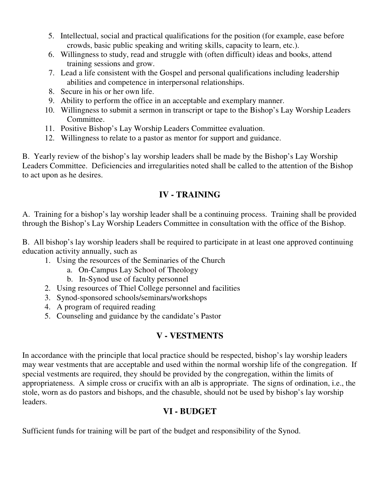- 5. Intellectual, social and practical qualifications for the position (for example, ease before crowds, basic public speaking and writing skills, capacity to learn, etc.).
- 6. Willingness to study, read and struggle with (often difficult) ideas and books, attend training sessions and grow.
- 7. Lead a life consistent with the Gospel and personal qualifications including leadership abilities and competence in interpersonal relationships.
- 8. Secure in his or her own life.
- 9. Ability to perform the office in an acceptable and exemplary manner.
- 10. Willingness to submit a sermon in transcript or tape to the Bishop's Lay Worship Leaders Committee.
- 11. Positive Bishop's Lay Worship Leaders Committee evaluation.
- 12. Willingness to relate to a pastor as mentor for support and guidance.

B. Yearly review of the bishop's lay worship leaders shall be made by the Bishop's Lay Worship Leaders Committee. Deficiencies and irregularities noted shall be called to the attention of the Bishop to act upon as he desires.

### **IV - TRAINING**

A. Training for a bishop's lay worship leader shall be a continuing process. Training shall be provided through the Bishop's Lay Worship Leaders Committee in consultation with the office of the Bishop.

B. All bishop's lay worship leaders shall be required to participate in at least one approved continuing education activity annually, such as

- 1. Using the resources of the Seminaries of the Church
	- a. On-Campus Lay School of Theology
	- b. In-Synod use of faculty personnel
- 2. Using resources of Thiel College personnel and facilities
- 3. Synod-sponsored schools/seminars/workshops
- 4. A program of required reading
- 5. Counseling and guidance by the candidate's Pastor

### **V - VESTMENTS**

In accordance with the principle that local practice should be respected, bishop's lay worship leaders may wear vestments that are acceptable and used within the normal worship life of the congregation. If special vestments are required, they should be provided by the congregation, within the limits of appropriateness. A simple cross or crucifix with an alb is appropriate. The signs of ordination, i.e., the stole, worn as do pastors and bishops, and the chasuble, should not be used by bishop's lay worship leaders.

# **VI - BUDGET**

Sufficient funds for training will be part of the budget and responsibility of the Synod.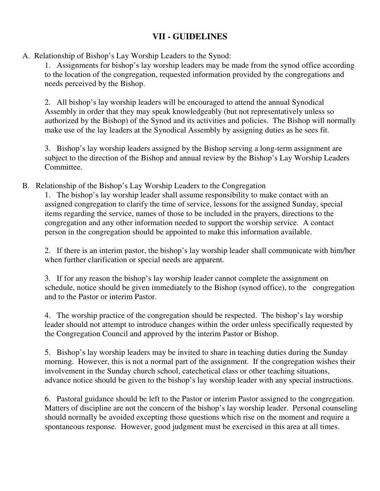#### **VII - GUIDELINES**

A. Relationship of Bishop's Lay Worship Leaders to the Synod:

1. Assignments for bishop's lay worship leaders may be made from the synod office according to the location of the congregation, requested information provided by the congregations and needs perceived by the Bishop.

2. All bishop's lay worship leaders will be encouraged to attend the annual Synodical Assembly in order that they may speak knowledgeably (but not representatively unless so authorized by the Bishop) of the Synod and its activities and policies. The Bishop will normally make use of the lay leaders at the Synodical Assembly by assigning duties as he sees fit.

3. Bishop's lay worship leaders assigned by the Bishop serving a long-term assignment are subject to the direction of the Bishop and annual review by the Bishop's Lay Worship Leaders Committee.

B. Relationship of the Bishop's Lay Worship Leaders to the Congregation

1. The bishop's lay worship leader shall assume responsibility to make contact with an assigned congregation to clarify the time of service, lessons for the assigned Sunday, special items regarding the service, names of those to be included in the prayers, directions to the congregation and any other information needed to support the worship service. A contact person in the congregation should be appointed to make this information available.

2. If there is an interim pastor, the bishop's lay worship leader shall communicate with him/her when further clarification or special needs are apparent.

3. If for any reason the bishop's lay worship leader cannot complete the assignment on schedule, notice should be given immediately to the Bishop (synod office), to the congregation and to the Pastor or interim Pastor.

4. The worship practice of the congregation should be respected. The bishop's lay worship leader should not attempt to introduce changes within the order unless specifically requested by the Congregation Council and approved by the interim Pastor or Bishop.

5. Bishop's lay worship leaders may be invited to share in teaching duties during the Sunday morning. However, this is not a normal part of the assignment. If the congregation wishes their involvement in the Sunday church school, catechetical class or other teaching situations, advance notice should be given to the bishop's lay worship leader with any special instructions.

6. Pastoral guidance should be left to the Pastor or interim Pastor assigned to the congregation. Matters of discipline are not the concern of the bishop's lay worship leader. Personal counseling should normally be avoided excepting those questions which rise on the moment and require a spontaneous response. However, good judgment must be exercised in this area at all times.